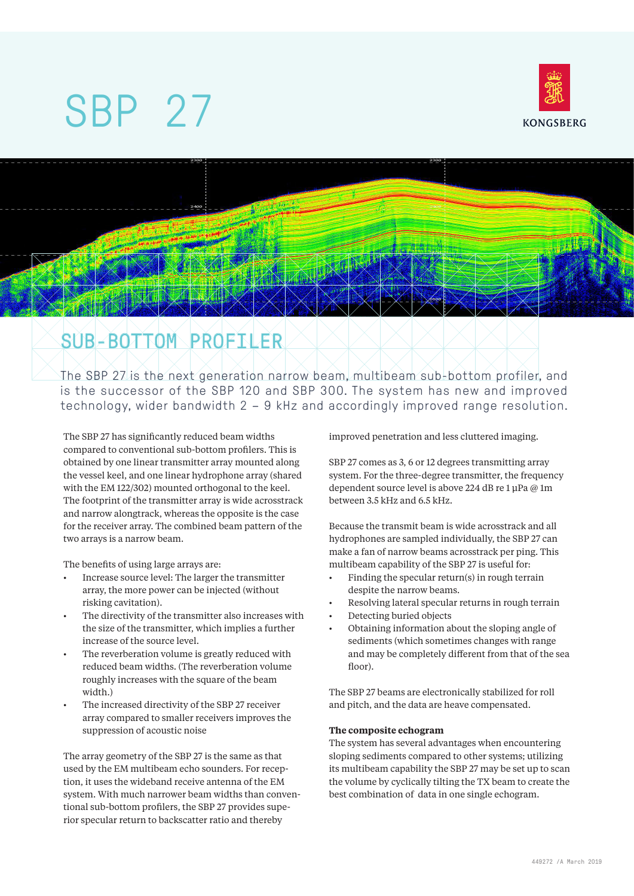# SBP 27



# SUB-BOTTOM PROFILER

The SBP 27 is the next generation narrow beam, multibeam sub-bottom profiler, and is the successor of the SBP 120 and SBP 300. The system has new and improved technology, wider bandwidth 2 – 9 kHz and accordingly improved range resolution.

The SBP 27 has significantly reduced beam widths compared to conventional sub-bottom profilers. This is obtained by one linear transmitter array mounted along the vessel keel, and one linear hydrophone array (shared with the EM 122/302) mounted orthogonal to the keel. The footprint of the transmitter array is wide acrosstrack and narrow alongtrack, whereas the opposite is the case for the receiver array. The combined beam pattern of the two arrays is a narrow beam.

The benefits of using large arrays are:

- Increase source level: The larger the transmitter array, the more power can be injected (without risking cavitation).
- The directivity of the transmitter also increases with the size of the transmitter, which implies a further increase of the source level.
- The reverberation volume is greatly reduced with reduced beam widths. (The reverberation volume roughly increases with the square of the beam width.)
- The increased directivity of the SBP 27 receiver array compared to smaller receivers improves the suppression of acoustic noise

The array geometry of the SBP 27 is the same as that used by the EM multibeam echo sounders. For reception, it uses the wideband receive antenna of the EM system. With much narrower beam widths than conventional sub-bottom profilers, the SBP 27 provides superior specular return to backscatter ratio and thereby

improved penetration and less cluttered imaging.

SBP 27 comes as 3, 6 or 12 degrees transmitting array system. For the three-degree transmitter, the frequency dependent source level is above 224 dB re 1 μPa @ 1m between 3.5 kHz and 6.5 kHz.

Because the transmit beam is wide acrosstrack and all hydrophones are sampled individually, the SBP 27 can make a fan of narrow beams acrosstrack per ping. This multibeam capability of the SBP 27 is useful for:

- Finding the specular return(s) in rough terrain despite the narrow beams.
- Resolving lateral specular returns in rough terrain
- Detecting buried objects
- Obtaining information about the sloping angle of sediments (which sometimes changes with range and may be completely different from that of the sea floor).

The SBP 27 beams are electronically stabilized for roll and pitch, and the data are heave compensated.

#### **The composite echogram**

The system has several advantages when encountering sloping sediments compared to other systems; utilizing its multibeam capability the SBP 27 may be set up to scan the volume by cyclically tilting the TX beam to create the best combination of data in one single echogram.